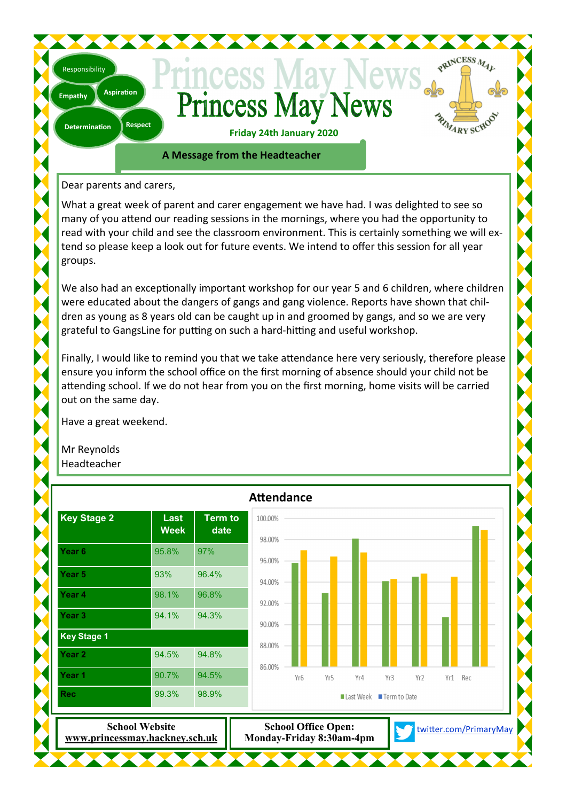# **Princess May News**

PRINCESS MAL

RIVARY SCHOO

**Respect Determination** 

**Aspiration** 

**Empathy** 

Responsibility

**Friday 24th January 2020** 

**A Message from the Headteacher** 

Dear parents and carers,

What a great week of parent and carer engagement we have had. I was delighted to see so many of you attend our reading sessions in the mornings, where you had the opportunity to read with your child and see the classroom environment. This is certainly something we will extend so please keep a look out for future events. We intend to offer this session for all year groups.

We also had an exceptionally important workshop for our year 5 and 6 children, where children were educated about the dangers of gangs and gang violence. Reports have shown that children as young as 8 years old can be caught up in and groomed by gangs, and so we are very grateful to GangsLine for putting on such a hard-hitting and useful workshop.

Finally, I would like to remind you that we take attendance here very seriously, therefore please ensure you inform the school office on the first morning of absence should your child not be attending school. If we do not hear from you on the first morning, home visits will be carried out on the same day.

Have a great weekend.

Mr Reynolds Headteacher